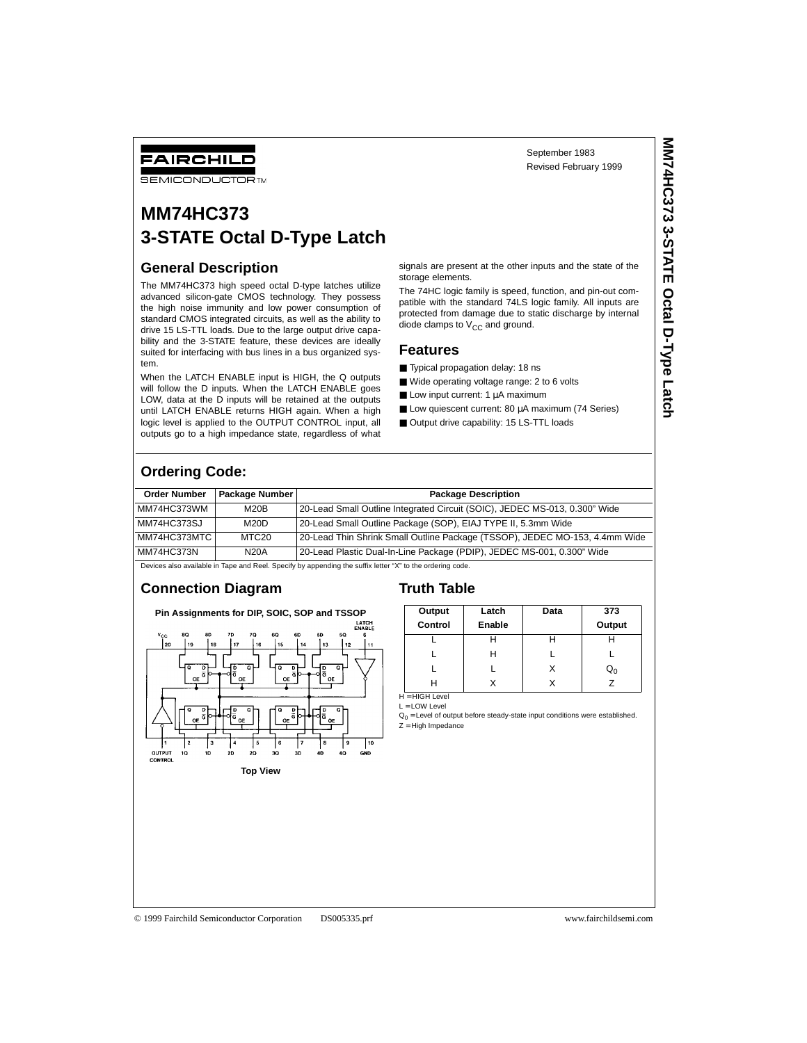# FAIRCHILD

**SEMICONDUCTOR TM** 

# **MM74HC373 3-STATE Octal D-Type Latch**

### **General Description**

The MM74HC373 high speed octal D-type latches utilize advanced silicon-gate CMOS technology. They possess the high noise immunity and low power consumption of standard CMOS integrated circuits, as well as the ability to drive 15 LS-TTL loads. Due to the large output drive capability and the 3-STATE feature, these devices are ideally suited for interfacing with bus lines in a bus organized system.

When the LATCH ENABLE input is HIGH, the Q outputs will follow the D inputs. When the LATCH ENABLE goes LOW, data at the D inputs will be retained at the outputs until LATCH ENABLE returns HIGH again. When a high logic level is applied to the OUTPUT CONTROL input, all outputs go to a high impedance state, regardless of what

signals are present at the other inputs and the state of the storage elements.

The 74HC logic family is speed, function, and pin-out compatible with the standard 74LS logic family. All inputs are protected from damage due to static discharge by internal diode clamps to  $V_{CC}$  and ground.

#### **Features**

- Typical propagation delay: 18 ns
- Wide operating voltage range: 2 to 6 volts

■ Output drive capability: 15 LS-TTL loads

- Low input current: 1 µA maximum
- Low quiescent current: 80 µA maximum (74 Series)

**Ordering Code:**

| <b>Order Number</b> | <b>Package Number I</b> | <b>Package Description</b>                                                  |
|---------------------|-------------------------|-----------------------------------------------------------------------------|
| MM74HC373WM         | M20B                    | 20-Lead Small Outline Integrated Circuit (SOIC), JEDEC MS-013, 0.300" Wide  |
| MM74HC373SJ         | M20D                    | 20-Lead Small Outline Package (SOP), EIAJ TYPE II, 5.3mm Wide               |
| MM74HC373MTC        | MTC20                   | 20-Lead Thin Shrink Small Outline Package (TSSOP), JEDEC MO-153, 4.4mm Wide |
| MM74HC373N          | <b>N20A</b>             | 20-Lead Plastic Dual-In-Line Package (PDIP), JEDEC MS-001, 0.300" Wide      |

Devices also available in Tape and Reel. Specify by appending the suffix letter "X" to the ordering code.

#### **Connection Diagram**





| Latch  | Data | 373              |
|--------|------|------------------|
| Enable |      | Output           |
|        | н    |                  |
| н      |      |                  |
|        | х    | $\mathsf{Q}_{0}$ |
| X      | x    | 7                |
|        |      |                  |

L = LOW Level

 $Q_0$  = Level of output before steady-state input conditions were established. Z = High Impedance

© 1999 Fairchild Semiconductor Corporation DS005335.prf www.fairchildsemi.com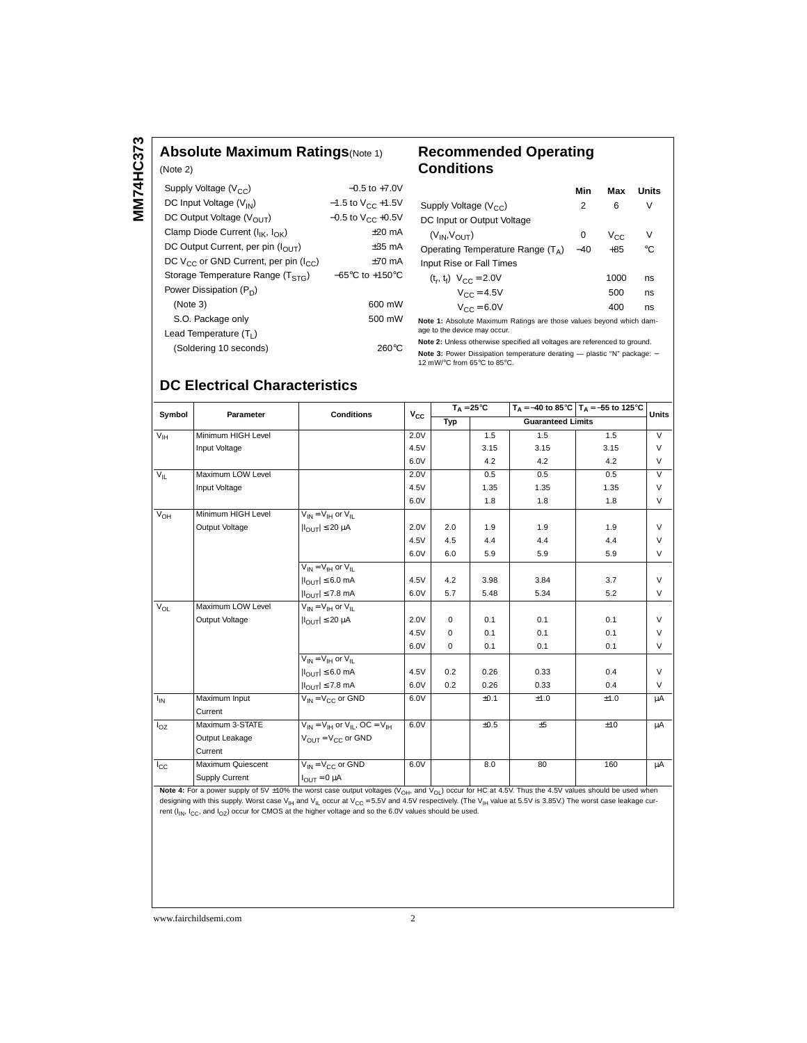## **Absolute Maximum Ratings**(Note 1)

| (Note 2)                                         |                                     |
|--------------------------------------------------|-------------------------------------|
| Supply Voltage $(V_{CC})$                        | $-0.5$ to $+7.0V$                   |
| DC Input Voltage $(V_{IN})$                      | $-1.5$ to $V_{CC}$ +1.5V            |
| DC Output Voltage $(V_{OIIT})$                   | $-0.5$ to V <sub>CC</sub> +0.5V     |
| Clamp Diode Current ( $I_{IK}$ , $I_{OK}$ )      | $+20$ mA                            |
| DC Output Current, per pin $(I_{\text{OUT}})$    | $+35$ mA                            |
| DC $V_{CC}$ or GND Current, per pin ( $I_{CC}$ ) | $+70$ mA                            |
| Storage Temperature Range $(TSTG)$               | $-65^{\circ}$ C to $+150^{\circ}$ C |
| Power Dissipation $(P_D)$                        |                                     |
| (Note 3)                                         | 600 mW                              |
| S.O. Package only                                | 500 mW                              |
| Lead Temperature $(T_1)$                         |                                     |
| (Soldering 10 seconds)                           | 260°C                               |

### **Recommended Operating Conditions**

|                                                                     | Min   | Max             | Units |
|---------------------------------------------------------------------|-------|-----------------|-------|
| Supply Voltage $(V_{CC})$                                           | 2     | 6               | V     |
| DC Input or Output Voltage                                          |       |                 |       |
| $(V_{IN}, V_{OUT})$                                                 | 0     | V <sub>CC</sub> | V     |
| Operating Temperature Range $(T_A)$                                 | $-40$ | $+85$           | °C    |
| Input Rise or Fall Times                                            |       |                 |       |
| $(t_r, t_f)$ $V_{CC} = 2.0V$                                        |       | 1000            | ns    |
| $V_{CC} = 4.5V$                                                     |       | 500             | ns    |
| $V_{CC} = 6.0V$                                                     |       | 400             | ns    |
| Note 1: Absolute Maximum Ratings are those values beyond which dam- |       |                 |       |

age to the device may occur. **Note 2:** Unless otherwise specified all voltages are referenced to ground.

**Note 3:** Power Dissipation temperature derating — plastic "N" package: –<br>12 mW/°C from 65°C to 85°C.

## **DC Electrical Characteristics**

| Symbol          | Parameter             | <b>Conditions</b>                                                         | $V_{CC}$ | $T_A = 25^{\circ}C$ |                          |      | $T_A = -40$ to 85°C $T_A = -55$ to 125°C | <b>Units</b>   |
|-----------------|-----------------------|---------------------------------------------------------------------------|----------|---------------------|--------------------------|------|------------------------------------------|----------------|
|                 |                       |                                                                           |          | Typ                 | <b>Guaranteed Limits</b> |      |                                          |                |
| $V_{\text{IH}}$ | Minimum HIGH Level    |                                                                           | 2.0V     |                     | 1.5                      | 1.5  | 1.5                                      | $\overline{V}$ |
|                 | Input Voltage         |                                                                           | 4.5V     |                     | 3.15                     | 3.15 | 3.15                                     | V              |
|                 |                       |                                                                           | 6.0V     |                     | 4.2                      | 4.2  | 4.2                                      | V              |
| $V_{IL}$        | Maximum LOW Level     |                                                                           | 2.0V     |                     | 0.5                      | 0.5  | 0.5                                      | $\vee$         |
|                 | Input Voltage         |                                                                           | 4.5V     |                     | 1.35                     | 1.35 | 1.35                                     | $\vee$         |
|                 |                       |                                                                           | 6.0V     |                     | 1.8                      | 1.8  | 1.8                                      | $\vee$         |
| $V_{OH}$        | Minimum HIGH Level    | $V_{IN} = V_{IH}$ or $V_{II}$                                             |          |                     |                          |      |                                          |                |
|                 | Output Voltage        | $ I_{OUT}  \leq 20 \mu A$                                                 | 2.0V     | 2.0                 | 1.9                      | 1.9  | 1.9                                      | $\vee$         |
|                 |                       |                                                                           | 4.5V     | 4.5                 | 4.4                      | 4.4  | 4.4                                      | $\vee$         |
|                 |                       |                                                                           | 6.0V     | 6.0                 | 5.9                      | 5.9  | 5.9                                      | V              |
|                 |                       | $V_{IN} = V_{IH}$ or $V_{II}$                                             |          |                     |                          |      |                                          |                |
|                 |                       | $ I_{\text{OUT}}  \leq 6.0 \text{ mA}$                                    | 4.5V     | 4.2                 | 3.98                     | 3.84 | 3.7                                      | $\vee$         |
|                 |                       | $ I_{\text{OUT}}  \leq 7.8$ mA                                            | 6.0V     | 5.7                 | 5.48                     | 5.34 | 5.2                                      | V              |
| $V_{OL}$        | Maximum LOW Level     | $V_{IN} = V_{IH}$ or $V_{II}$                                             |          |                     |                          |      |                                          |                |
|                 | Output Voltage        | $ I_{OUT}  \leq 20 \mu A$                                                 | 2.0V     | $\Omega$            | 0.1                      | 0.1  | 0.1                                      | $\vee$         |
|                 |                       |                                                                           | 4.5V     | $\Omega$            | 0.1                      | 0.1  | 0.1                                      | $\vee$         |
|                 |                       |                                                                           | 6.0V     | $\mathbf 0$         | 0.1                      | 0.1  | 0.1                                      | V              |
|                 |                       | $V_{IN} = V_{IH}$ or $V_{II}$                                             |          |                     |                          |      |                                          |                |
|                 |                       | $ I_{\bigcap I T}  \leq 6.0$ mA                                           | 4.5V     | 0.2                 | 0.26                     | 0.33 | 0.4                                      | $\vee$         |
|                 |                       | $ I_{OUT}  \le 7.8$ mA                                                    | 6.0V     | 0.2                 | 0.26                     | 0.33 | 0.4                                      | $\vee$         |
| $I_{IN}$        | Maximum Input         | $V_{IN} = V_{C}$ or GND                                                   | 6.0V     |                     | ±0.1                     | ±1.0 | ±1.0                                     | μA             |
|                 | Current               |                                                                           |          |                     |                          |      |                                          |                |
| $I_{OZ}$        | Maximum 3-STATE       | $V_{\text{IN}} = V_{\text{IH}}$ or $V_{\text{II}}$ , OC = $V_{\text{IH}}$ | 6.0V     |                     | ±0.5                     | ±5   | ±10                                      | μA             |
|                 | Output Leakage        | $V_{OIII} = V_{CC}$ or GND                                                |          |                     |                          |      |                                          |                |
|                 | Current               |                                                                           |          |                     |                          |      |                                          |                |
| $I_{\rm CC}$    | Maximum Quiescent     | $V_{IN} = V_{CC}$ or GND                                                  | 6.0V     |                     | 8.0                      | 80   | 160                                      | μA             |
|                 | <b>Supply Current</b> | $I_{OUT} = 0 \mu A$                                                       |          |                     |                          |      |                                          |                |

Note 4: For a power supply of 5V ±10% the worst case output voltages (V<sub>OH</sub>, and V<sub>OL</sub>) occur for HC at 4.5V. Thus the 4.5V values should be used when designing with this supply. Worst case V<sub>IH</sub> and V<sub>IL</sub> occur at V<sub>CC</sub> = 5.5V and 4.5V respectively. (The V<sub>IH</sub> value at 5.5V is 3.85V.) The worst case leakage cur-<br>rent (I<sub>IN</sub>, I<sub>CC</sub>, and I<sub>OZ</sub>) occur for CMOS at the highe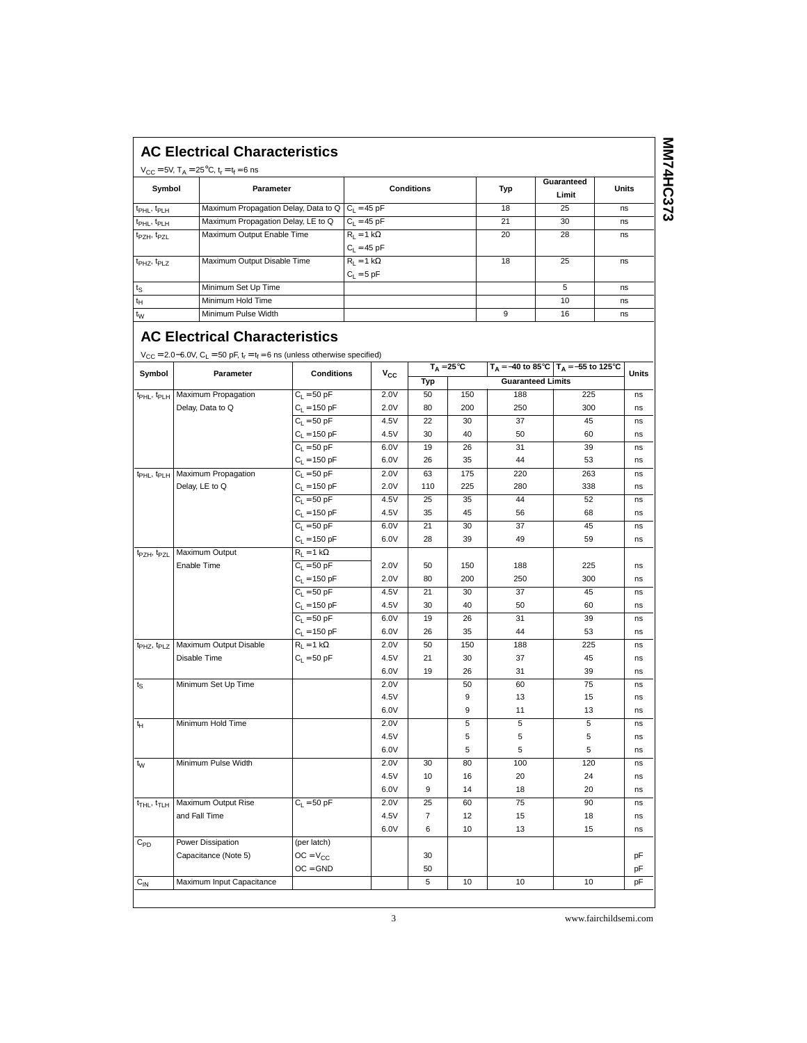|                                     | $V_{CC} = 5V$ , $T_A = 25^{\circ}C$ , $t_r = t_f = 6$ ns                                                                                                    |                                   |                          |              |           |                     |            | Guaranteed                               |              |
|-------------------------------------|-------------------------------------------------------------------------------------------------------------------------------------------------------------|-----------------------------------|--------------------------|--------------|-----------|---------------------|------------|------------------------------------------|--------------|
| Symbol                              | Parameter                                                                                                                                                   |                                   | <b>Conditions</b>        |              |           |                     | Typ        | Limit                                    | <b>Units</b> |
| t <sub>PHL</sub> , t <sub>PLH</sub> | Maximum Propagation Delay, Data to Q                                                                                                                        |                                   | $C_L = 45 \overline{pF}$ |              |           |                     | 18         | 25                                       | ns           |
| t <sub>PHL</sub> , t <sub>PLH</sub> | Maximum Propagation Delay, LE to Q                                                                                                                          |                                   | $C_L = 45 pF$            |              |           |                     | 21         | 30                                       | ns           |
| t <sub>PZH</sub> , t <sub>PZL</sub> | Maximum Output Enable Time                                                                                                                                  |                                   | $R_L = 1 k\Omega$        |              |           |                     | 20         | 28                                       | ns           |
|                                     |                                                                                                                                                             |                                   | $C_L = 45$ pF            |              |           |                     |            |                                          |              |
| t <sub>PHZ</sub> , t <sub>PLZ</sub> | Maximum Output Disable Time                                                                                                                                 |                                   | $R_L = 1 k\Omega$        |              |           |                     | 18         | 25                                       | ns           |
| $t_{\mathbb{S}}$                    | Minimum Set Up Time                                                                                                                                         |                                   | $C_L = 5 pF$             |              |           |                     |            | 5                                        | ns           |
| $t_H$                               | Minimum Hold Time                                                                                                                                           |                                   |                          |              |           |                     |            | 10                                       | ns           |
| $t_{\rm W}$                         | Minimum Pulse Width                                                                                                                                         |                                   |                          |              |           |                     | 9          | 16                                       | ns           |
|                                     | <b>AC Electrical Characteristics</b><br>$V_{CC} = 2.0 - 6.0V$ , C <sub>L</sub> = 50 pF, t <sub>r</sub> = t <sub>f</sub> = 6 ns (unless otherwise specified) |                                   |                          |              |           | $T_A = 25^{\circ}C$ |            | $T_A = -40$ to 85°C $T_A = -55$ to 125°C |              |
| Symbol                              | Parameter                                                                                                                                                   | <b>Conditions</b>                 |                          | $V_{\rm CC}$ | Typ       |                     |            | <b>Guaranteed Limits</b>                 | Units        |
| t <sub>PHL</sub> , t <sub>PLH</sub> | Maximum Propagation                                                                                                                                         | $C_L = 50$ pF                     |                          | 2.0V         | 50        | 150                 | 188        | 225                                      | ns           |
|                                     | Delay, Data to Q                                                                                                                                            | $C_L = 150$ pF                    |                          | 2.0V         | 80        | 200                 | 250        | 300                                      | ns           |
|                                     |                                                                                                                                                             | $C_1 = 50 pF$                     |                          | 4.5V         | 22        | 30                  | 37         | 45                                       | ns           |
|                                     |                                                                                                                                                             | $C_L = 150$ pF                    |                          | 4.5V         | 30        | 40                  | 50         | 60                                       | ns           |
|                                     |                                                                                                                                                             | $C_L = 50 pF$                     |                          | 6.0V         | 19        | 26                  | 31         | 39                                       | ns           |
|                                     |                                                                                                                                                             | $C_{L} = 150$ pF                  |                          | 6.0V         | 26        | 35                  | 44         | 53                                       | ns           |
| t <sub>PHL</sub> , t <sub>PLH</sub> | Maximum Propagation<br>Delay, LE to Q                                                                                                                       | $C_L = 50$ pF                     |                          | 2.0V<br>2.0V | 63<br>110 | 175<br>225          | 220<br>280 | 263<br>338                               | ns           |
|                                     |                                                                                                                                                             | $C_L = 150$ pF<br>$C_1 = 50 pF$   |                          | 4.5V         | 25        | 35                  | 44         | 52                                       | ns<br>ns     |
|                                     |                                                                                                                                                             | $C_L = 150$ pF                    |                          | 4.5V         | 35        | 45                  | 56         | 68                                       | ns           |
|                                     |                                                                                                                                                             | $C_L = 50$ pF                     |                          | 6.0V         | 21        | 30                  | 37         | 45                                       | ns           |
|                                     |                                                                                                                                                             | $C_1 = 150$ pF                    |                          | 6.0V         | 28        | 39                  | 49         | 59                                       | ns           |
| tpzH, tpzL                          | Maximum Output                                                                                                                                              | $R_L = 1 k\Omega$                 |                          |              |           |                     |            |                                          |              |
|                                     | Enable Time                                                                                                                                                 | $C_L = 50$ pF                     |                          | 2.0V         | 50        | 150                 | 188        | 225                                      | ns           |
|                                     |                                                                                                                                                             | $C_{L} = 150$ pF                  |                          | 2.0V         | 80        | 200                 | 250        | 300                                      | ns           |
|                                     |                                                                                                                                                             | $C_L = 50$ pF<br>$C_{L} = 150$ pF |                          | 4.5V<br>4.5V | 21<br>30  | 30<br>40            | 37<br>50   | 45<br>60                                 | ns           |
|                                     |                                                                                                                                                             | $C_L = 50$ pF                     |                          | 6.0V         | 19        | 26                  | 31         | 39                                       | ns<br>ns     |
|                                     |                                                                                                                                                             | $C_L = 150$ pF                    |                          | 6.0V         | 26        | 35                  | 44         | 53                                       | ns           |
| $t_{PHZ}$ , $t_{PLZ}$               | Maximum Output Disable                                                                                                                                      | $R_L = 1 k\Omega$                 |                          | 2.0V         | 50        | 150                 | 188        | 225                                      | ns           |
|                                     | Disable Time                                                                                                                                                | $C_1 = 50$ pF                     |                          | 4.5V         | 21        | 30                  | 37         | 45                                       | ns           |
|                                     |                                                                                                                                                             |                                   |                          | 6.0V         | 19        | 26                  | 31         | 39                                       | ns           |
| ts                                  | Minimum Set Up Time                                                                                                                                         |                                   |                          | 2.0V         |           | 50                  | 60         | 75                                       | ns           |
|                                     |                                                                                                                                                             |                                   |                          | 4.5V         |           | 9                   | 13         | 15                                       | ns           |
|                                     |                                                                                                                                                             |                                   |                          | 6.0V         |           | 9                   | 11         | 13                                       | ns           |
| ιн                                  | Minimum Hold Time                                                                                                                                           |                                   |                          | 2.0V<br>4.5V |           | b<br>5              | b<br>5     | b                                        | ns           |
|                                     |                                                                                                                                                             |                                   |                          | 6.0V         |           | 5                   | 5          | 5<br>5                                   | ns<br>ns     |
| $t_{\text{W}}$                      | Minimum Pulse Width                                                                                                                                         |                                   |                          | 2.0V         | 30        | 80                  | 100        | 120                                      | ns           |
|                                     |                                                                                                                                                             |                                   |                          | 4.5V         | 10        | 16                  | 20         | 24                                       | ns           |
|                                     |                                                                                                                                                             |                                   |                          | 6.0V         | 9         | 14                  | 18         | 20                                       | ns           |
| t <sub>THL</sub> , t <sub>TLH</sub> | Maximum Output Rise                                                                                                                                         | $C_L = 50 pF$                     |                          | 2.0V         | 25        | 60                  | 75         | 90                                       | ns           |
|                                     | and Fall Time                                                                                                                                               |                                   |                          | 4.5V         | 7         | 12                  | 15         | 18                                       | ns           |
|                                     |                                                                                                                                                             |                                   |                          | 6.0V         | 6         | 10                  | 13         | 15                                       | ns           |
|                                     |                                                                                                                                                             | (per latch)                       |                          |              |           |                     |            |                                          |              |
| $C_{PD}$                            | Power Dissipation                                                                                                                                           |                                   |                          |              |           |                     |            |                                          |              |
|                                     | Capacitance (Note 5)                                                                                                                                        | $OC = V_{CC}$<br>$OC = GND$       |                          |              | 30<br>50  |                     |            |                                          | pF<br>pF     |

3 www.fairchildsemi.com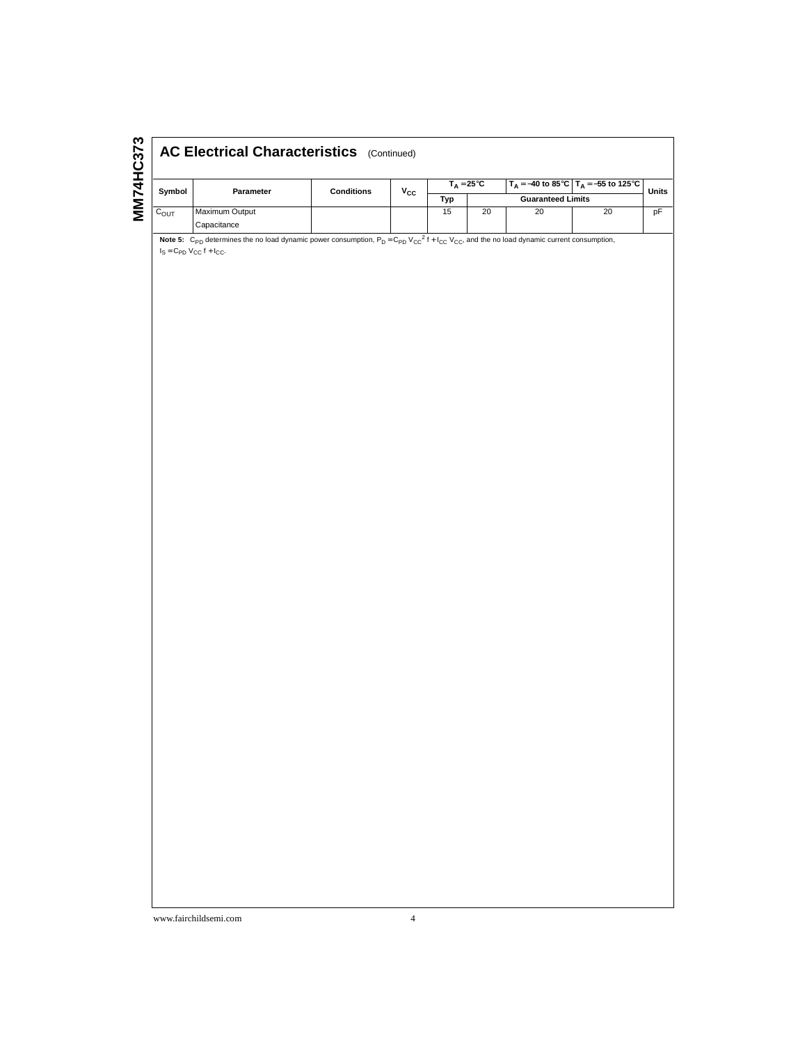| ო<br>57<br>ч |                  | <b>AC Electrical Characteristics</b> (Continued) |                   |              |                                     |    |                          |                                          |       |  |
|--------------|------------------|--------------------------------------------------|-------------------|--------------|-------------------------------------|----|--------------------------|------------------------------------------|-------|--|
|              | Symbol           | <b>Parameter</b>                                 | <b>Conditions</b> | $v_{\rm cc}$ | $T_{\text{A}} = 25^{\circ}\text{C}$ |    |                          | $T_A = -40$ to 85°C $T_A = -55$ to 125°C | Units |  |
|              |                  |                                                  |                   |              | Typ                                 |    | <b>Guaranteed Limits</b> |                                          |       |  |
|              | $C_{\text{OUT}}$ | <b>Maximum Output</b>                            |                   |              | 15                                  | 20 | 20                       | 20                                       | рF    |  |
|              |                  | Capacitance                                      |                   |              |                                     |    |                          |                                          |       |  |

Note 5: C<sub>PD</sub> determines the no load dynamic power consumption, P<sub>D</sub> = C<sub>PD</sub> V<sub>CC</sub><sup>2</sup> f + I<sub>CC</sub> V<sub>CC</sub>, and the no load dynamic current consumption,<br>I<sub>S</sub> = C<sub>PD</sub> V<sub>CC</sub> f + I<sub>CC</sub>.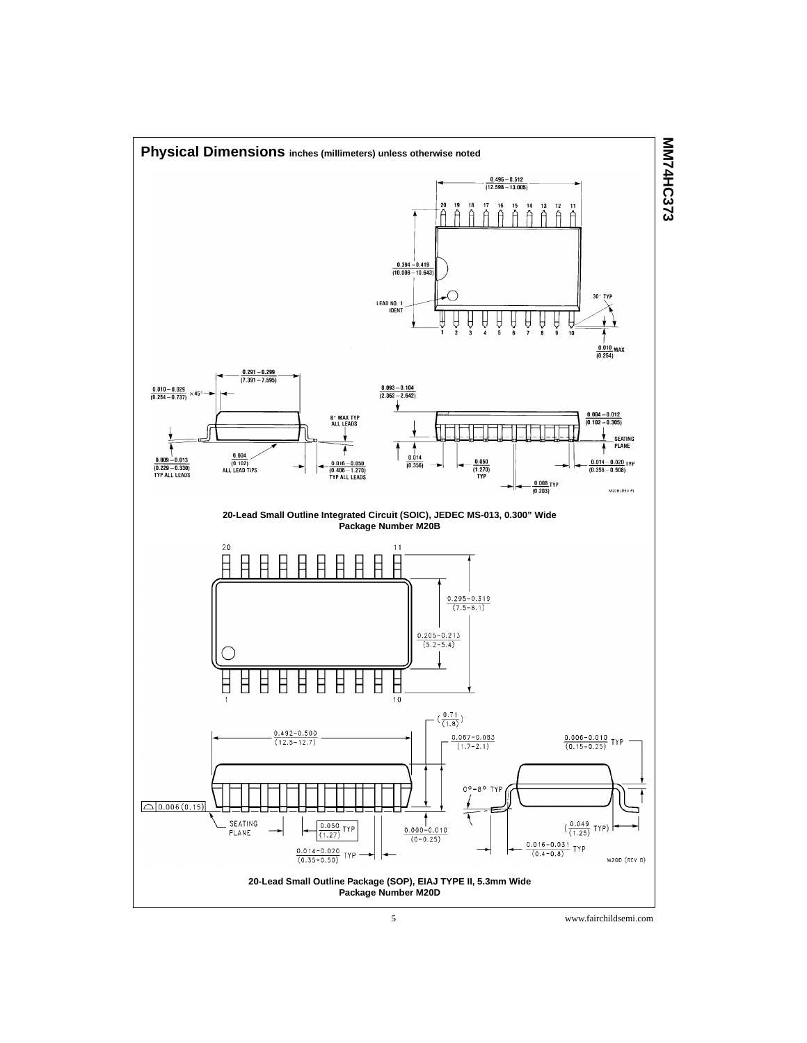

5 www.fairchildsemi.com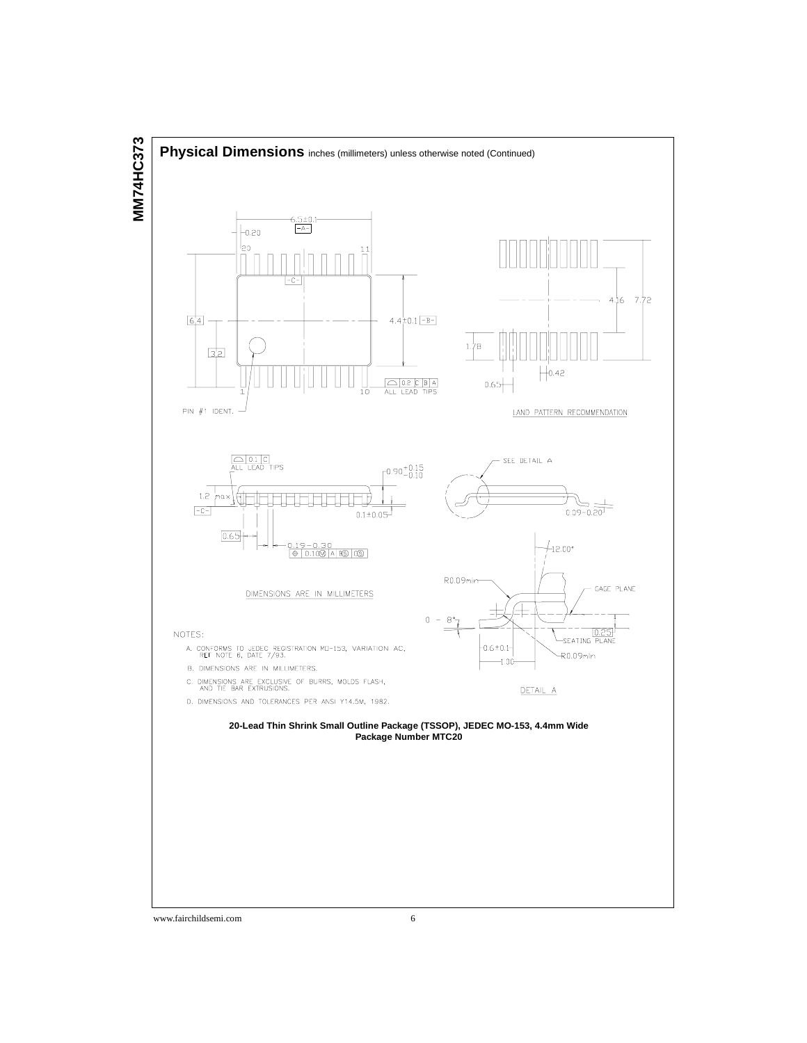

www.fairchildsemi.com 6